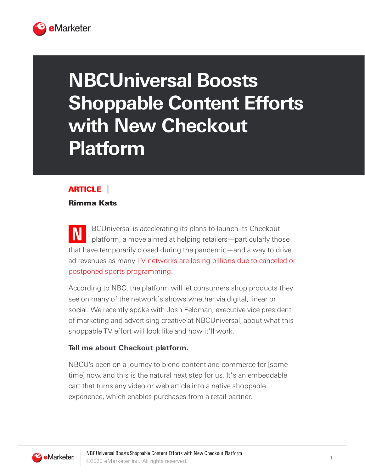

# **NBCUniversal Boosts Shoppable Content Efforts with New Checkout Platform**

## **ARTICLE**

#### Rimma Kats

**N** BCUniversal is accelerating its plans to launch its Checkout platform, a move aimed at helping retailers—particularly those that have temporarily closed during the pandemic—and a way to drive ad revenues as many TV networks are losing billions due to canceled or postponed sports programming.

According to NBC, the platform will let consumers shop products they see on many of the network's shows whether via digital, linear or social. We recently spoke with Josh Feldman, executive vice president of marketing and advertising creative at NBCUniversal, about what this shoppable TV effort will look like and how it'll work.

#### **Tell me about Checkout platform.**

NBCU's been on a journey to blend content and commerce for [some time] now, and this is the natural next step for us. It's an embeddable cart that turns any video or web article into a native shoppable experience, which enables purchases from a retail partner.

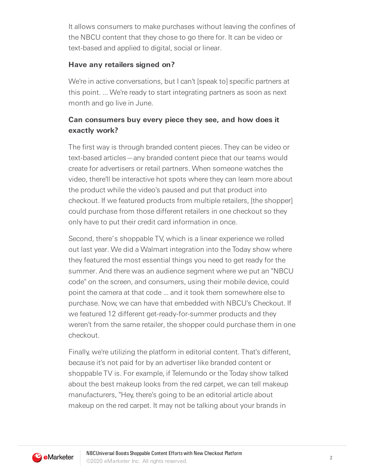It allows consumers to make purchases without leaving the confines of the NBCU content that they chose to go there for. It can be video or text-based and applied to digital, social or linear.

#### **Have any retailers signed on?**

We're in active conversations, but I can't [speak to] specific partners at this point. ... We're ready to start integrating partners as soon as next month and go live in June.

## **Can consumers buy every piece they see, and how does it exactly work?**

The first way is through branded content pieces. They can be video or text-based articles—any branded content piece that our teams would create for advertisers or retail partners. When someone watches the video, there'll be interactive hot spots where they can learn more about the product while the video's paused and put that product into checkout. If we featured products from multiple retailers, [the shopper] could purchase from those different retailers in one checkout so they only have to put their credit card information in once.

Second, there's shoppable TV, which is a linear experience we rolled out last year. We did a Walmart integration into the Today show where they featured the most essential things you need to get ready for the summer. And there was an audience segment where we put an "NBCU code" on the screen, and consumers, using their mobile device, could point the camera at that code ... and it took them somewhere else to purchase. Now, we can have that embedded with NBCU's Checkout. If we featured 12 different get-ready-for-summer products and they weren't from the same retailer, the shopper could purchase them in one checkout.

Finally, we're utilizing the platform in editorial content. That's different, because it's not paid for by an advertiser like branded content or shoppable TV is. For example, if Telemundo or the Today show talked about the best makeup looks from the red carpet, we can tell makeup manufacturers, "Hey, there's going to be an editorial article about makeup on the red carpet. It may not be talking about your brands in